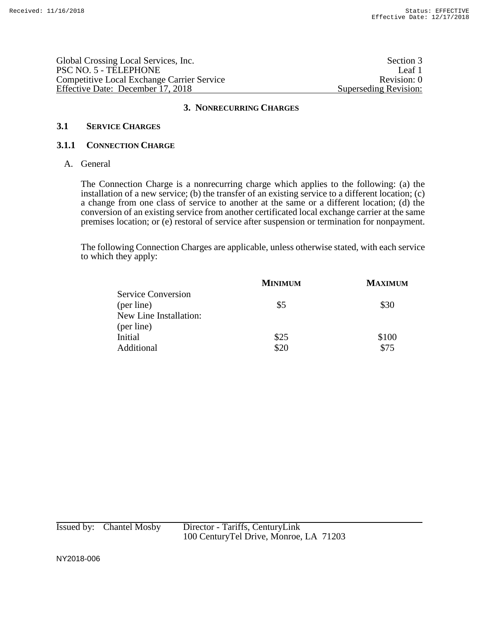Global Crossing Local Services, Inc. Section 3 PSC NO. 5 - TELEPHONE Leaf 1 Competitive Local Exchange Carrier Service Revision: 0 Effective Date: December 17, 2018 Superseding Revision:

### **3. NONRECURRING CHARGES**

## **3.1 SERVICE CHARGES**

### **3.1.1 CONNECTION CHARGE**

A. General

The Connection Charge is a nonrecurring charge which applies to the following: (a) the installation of a new service; (b) the transfer of an existing service to a different location; (c) a change from one class of service to another at the same or a different location; (d) the conversion of an existing service from another certificated local exchange carrier at the same premises location; or (e) restoral of service after suspension or termination for nonpayment.

The following Connection Charges are applicable, unless otherwise stated, with each service to which they apply:

|                           | <b>MINIMUM</b> | <b>MAXIMUM</b> |
|---------------------------|----------------|----------------|
| <b>Service Conversion</b> |                |                |
| (per line)                | \$5            | \$30           |
| New Line Installation:    |                |                |
| (per line)                |                |                |
| Initial                   | \$25           | \$100          |
| Additional                | \$20           | \$75           |
|                           |                |                |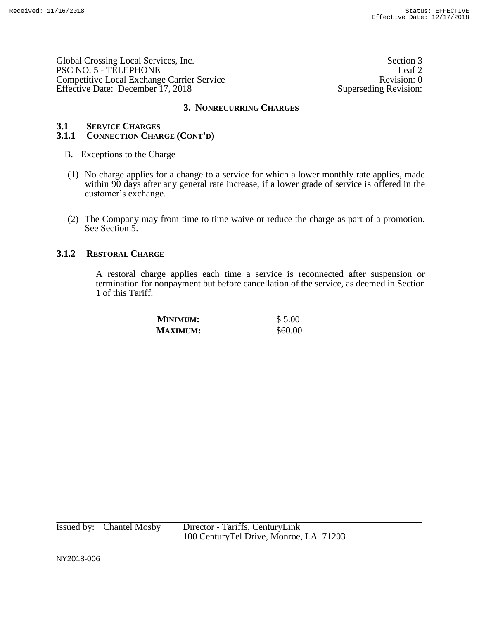| Global Crossing Local Services, Inc.       | Section 3             |
|--------------------------------------------|-----------------------|
| PSC NO. 5 - TELEPHONE                      | Leaf 2                |
| Competitive Local Exchange Carrier Service | Revision: 0           |
| Effective Date: December 17, 2018          | Superseding Revision: |

#### **3. NONRECURRING CHARGES**

## **3.1 SERVICE CHARGES**

## **3.1.1 CONNECTION CHARGE (CONT'D)**

- B. Exceptions to the Charge
- (1) No charge applies for a change to a service for which a lower monthly rate applies, made within 90 days after any general rate increase, if a lower grade of service is offered in the customer's exchange.
- (2) The Company may from time to time waive or reduce the charge as part of a promotion. See Section 5.

## **3.1.2 RESTORAL CHARGE**

A restoral charge applies each time a service is reconnected after suspension or termination for nonpayment but before cancellation of the service, as deemed in Section 1 of this Tariff.

| <b>MINIMUM:</b> | \$5.00  |
|-----------------|---------|
| <b>MAXIMUM:</b> | \$60.00 |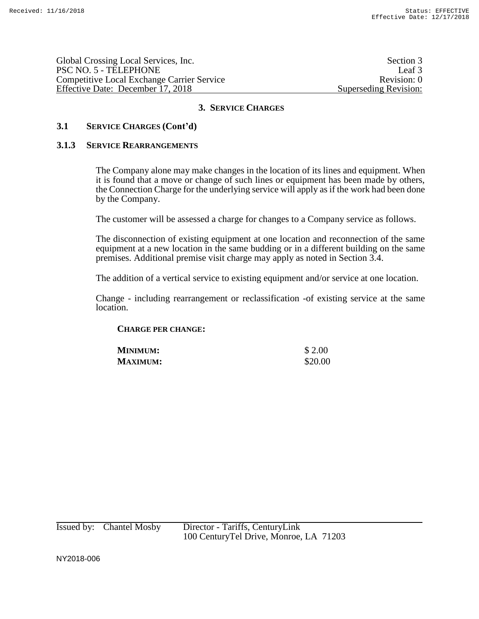Global Crossing Local Services, Inc. Section 3 PSC NO. 5 - TELEPHONE Leaf 3 Competitive Local Exchange Carrier Service Revision: 0 Effective Date: December 17, 2018 Superseding Revision:

## **3. SERVICE CHARGES**

## **3.1 SERVICE CHARGES (Cont'd)**

#### **3.1.3 SERVICE REARRANGEMENTS**

The Company alone may make changes in the location of its lines and equipment. When it is found that a move or change of such lines or equipment has been made by others, the Connection Charge for the underlying service will apply as if the work had been done by the Company.

The customer will be assessed a charge for changes to a Company service as follows.

The disconnection of existing equipment at one location and reconnection of the same equipment at a new location in the same budding or in a different building on the same premises. Additional premise visit charge may apply as noted in Section 3.4.

The addition of a vertical service to existing equipment and/or service at one location.

Change - including rearrangement or reclassification -of existing service at the same location.

### **CHARGE PER CHANGE:**

| <b>MINIMUM:</b> | \$ 2.00 |
|-----------------|---------|
| <b>MAXIMUM:</b> | \$20.00 |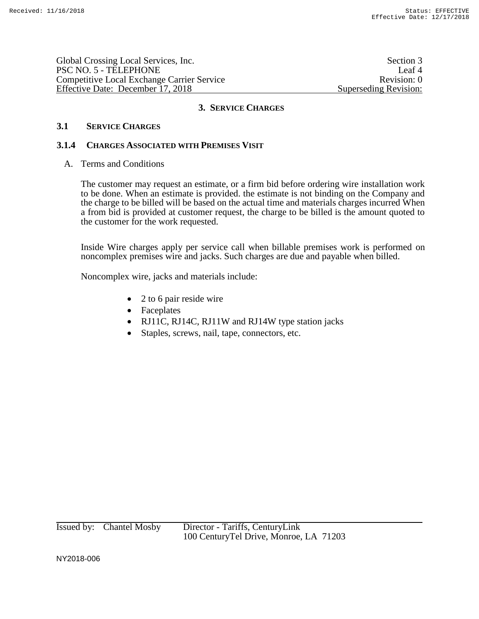Global Crossing Local Services, Inc. Section 3 PSC NO. 5 - TELEPHONE Leaf 4 Competitive Local Exchange Carrier Service Revision: 0 Effective Date: December 17, 2018 Superseding Revision:

## **3. SERVICE CHARGES**

### **3.1 SERVICE CHARGES**

## **3.1.4 CHARGES ASSOCIATED WITH PREMISES VISIT**

A. Terms and Conditions

The customer may request an estimate, or a firm bid before ordering wire installation work to be done. When an estimate is provided. the estimate is not binding on the Company and the charge to be billed will be based on the actual time and materials charges incurred When a from bid is provided at customer request, the charge to be billed is the amount quoted to the customer for the work requested.

Inside Wire charges apply per service call when billable premises work is performed on noncomplex premises wire and jacks. Such charges are due and payable when billed.

Noncomplex wire, jacks and materials include:

- 2 to 6 pair reside wire
- Faceplates
- RJ11C, RJ14C, RJ11W and RJ14W type station jacks
- Staples, screws, nail, tape, connectors, etc.

Issued by: Chantel Mosby Director - Tariffs, CenturyLink 100 CenturyTel Drive, Monroe, LA 71203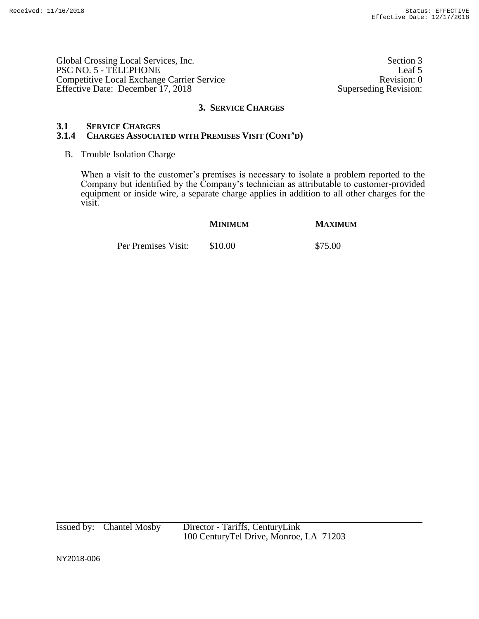Global Crossing Local Services, Inc. Section 3 PSC NO. 5 - TELEPHONE Leaf 5<br>
Competitive Local Exchange Carrier Service Revision: 0 Competitive Local Exchange Carrier Service Effective Date: December 17, 2018 Superseding Revision:

#### **3. SERVICE CHARGES**

#### **3.1 SERVICE CHARGES**

## **3.1.4 CHARGES ASSOCIATED WITH PREMISES VISIT (CONT'D)**

#### B. Trouble Isolation Charge

When a visit to the customer's premises is necessary to isolate a problem reported to the Company but identified by the Company's technician as attributable to customer-provided equipment or inside wire, a separate charge applies in addition to all other charges for the visit.

# **MINIMUM MAXIMUM**

Per Premises Visit: \$10.00 \$75.00

Issued by: Chantel Mosby Director - Tariffs, CenturyLink 100 CenturyTel Drive, Monroe, LA 71203

NY2018-006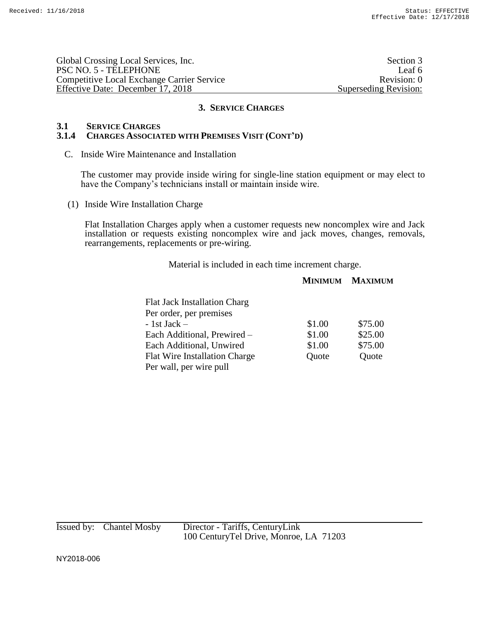Global Crossing Local Services, Inc. Section 3 PSC NO. 5 - TELEPHONE Leaf 6 Competitive Local Exchange Carrier Service Revision: 0 Effective Date: December 17, 2018 Superseding Revision:

## **3. SERVICE CHARGES**

### **3.1 SERVICE CHARGES**

## **3.1.4 CHARGES ASSOCIATED WITH PREMISES VISIT (CONT'D)**

C. Inside Wire Maintenance and Installation

The customer may provide inside wiring for single-line station equipment or may elect to have the Company's technicians install or maintain inside wire.

(1) Inside Wire Installation Charge

Flat Installation Charges apply when a customer requests new noncomplex wire and Jack installation or requests existing noncomplex wire and jack moves, changes, removals, rearrangements, replacements or pre-wiring.

Material is included in each time increment charge.

### **MINIMUM MAXIMUM**

| <b>Flat Jack Installation Charg</b> |        |         |
|-------------------------------------|--------|---------|
| Per order, per premises             |        |         |
| $-1st$ Jack $-$                     | \$1.00 | \$75.00 |
| Each Additional, Prewired -         | \$1.00 | \$25.00 |
| Each Additional, Unwired            | \$1.00 | \$75.00 |
| Flat Wire Installation Charge       | Quote  | Quote   |
| Per wall, per wire pull             |        |         |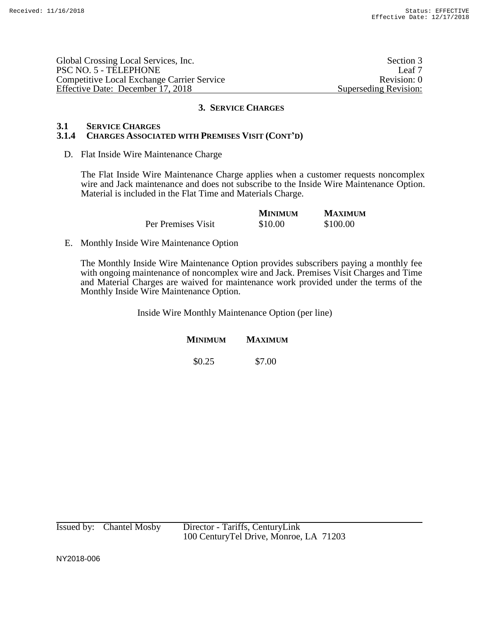| Global Crossing Local Services, Inc.              | Section 3             |
|---------------------------------------------------|-----------------------|
| PSC NO. 5 - TELEPHONE                             | Leaf 7                |
| <b>Competitive Local Exchange Carrier Service</b> | Revision: 0           |
| Effective Date: December 17, 2018                 | Superseding Revision: |

#### **3. SERVICE CHARGES**

## **3.1 SERVICE CHARGES**

## **3.1.4 CHARGES ASSOCIATED WITH PREMISES VISIT (CONT'D)**

D. Flat Inside Wire Maintenance Charge

The Flat Inside Wire Maintenance Charge applies when a customer requests noncomplex wire and Jack maintenance and does not subscribe to the Inside Wire Maintenance Option. Material is included in the Flat Time and Materials Charge.

|                    | <b>MINIMUM</b> | <b>MAXIMUM</b> |
|--------------------|----------------|----------------|
| Per Premises Visit | \$10.00        | \$100.00       |

E. Monthly Inside Wire Maintenance Option

The Monthly Inside Wire Maintenance Option provides subscribers paying a monthly fee with ongoing maintenance of noncomplex wire and Jack. Premises Visit Charges and Time and Material Charges are waived for maintenance work provided under the terms of the Monthly Inside Wire Maintenance Option.

Inside Wire Monthly Maintenance Option (per line)

**MINIMUM MAXIMUM**

\$0.25 \$7.00